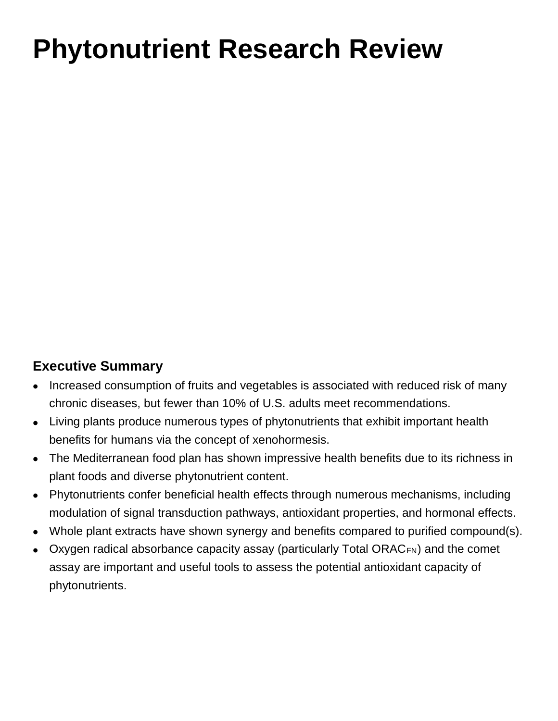# **Phytonutrient Research Review**

## **Executive Summary**

- Increased consumption of fruits and vegetables is associated with reduced risk of many chronic diseases, but fewer than 10% of U.S. adults meet recommendations.
- Living plants produce numerous types of phytonutrients that exhibit important health benefits for humans via the concept of xenohormesis.
- The Mediterranean food plan has shown impressive health benefits due to its richness in plant foods and diverse phytonutrient content.
- Phytonutrients confer beneficial health effects through numerous mechanisms, including modulation of signal transduction pathways, antioxidant properties, and hormonal effects.
- Whole plant extracts have shown synergy and benefits compared to purified compound(s).
- Oxygen radical absorbance capacity assay (particularly Total ORACFN) and the comet assay are important and useful tools to assess the potential antioxidant capacity of phytonutrients.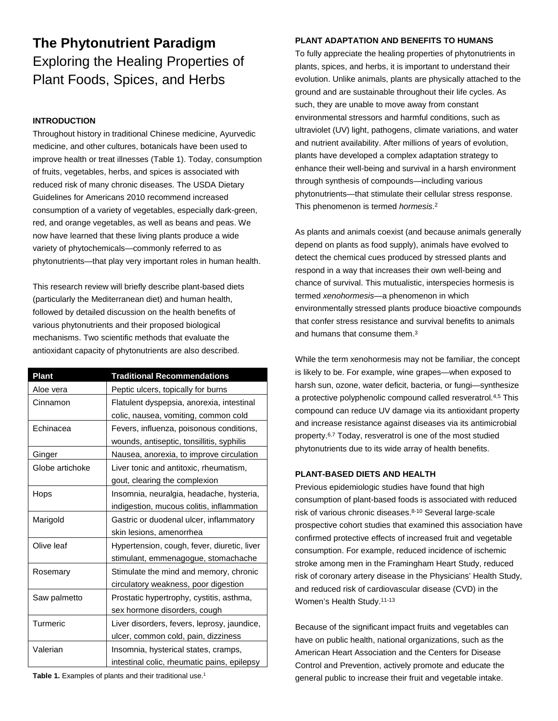# **The Phytonutrient Paradigm** Exploring the Healing Properties of Plant Foods, Spices, and Herbs

#### **INTRODUCTION**

Throughout history in traditional Chinese medicine, Ayurvedic medicine, and other cultures, botanicals have been used to improve health or treat illnesses (Table 1). Today, consumption of fruits, vegetables, herbs, and spices is associated with reduced risk of many chronic diseases. The USDA Dietary Guidelines for Americans 2010 recommend increased consumption of a variety of vegetables, especially dark-green, red, and orange vegetables, as well as beans and peas. We now have learned that these living plants produce a wide variety of phytochemicals—commonly referred to as phytonutrients—that play very important roles in human health.

This research review will briefly describe plant-based diets (particularly the Mediterranean diet) and human health, followed by detailed discussion on the health benefits of various phytonutrients and their proposed biological mechanisms. Two scientific methods that evaluate the antioxidant capacity of phytonutrients are also described.

| Plant           | <b>Traditional Recommendations</b>          |  |
|-----------------|---------------------------------------------|--|
| Aloe vera       | Peptic ulcers, topically for burns          |  |
| Cinnamon        | Flatulent dyspepsia, anorexia, intestinal   |  |
|                 | colic, nausea, vomiting, common cold        |  |
| Echinacea       | Fevers, influenza, poisonous conditions,    |  |
|                 | wounds, antiseptic, tonsillitis, syphilis   |  |
| Ginger          | Nausea, anorexia, to improve circulation    |  |
| Globe artichoke | Liver tonic and antitoxic, rheumatism,      |  |
|                 | gout, clearing the complexion               |  |
| Hops            | Insomnia, neuralgia, headache, hysteria,    |  |
|                 | indigestion, mucous colitis, inflammation   |  |
| Marigold        | Gastric or duodenal ulcer, inflammatory     |  |
|                 | skin lesions, amenorrhea                    |  |
| Olive leaf      | Hypertension, cough, fever, diuretic, liver |  |
|                 | stimulant, emmenagogue, stomachache         |  |
| Rosemary        | Stimulate the mind and memory, chronic      |  |
|                 | circulatory weakness, poor digestion        |  |
| Saw palmetto    | Prostatic hypertrophy, cystitis, asthma,    |  |
|                 | sex hormone disorders, cough                |  |
| Turmeric        | Liver disorders, fevers, leprosy, jaundice, |  |
|                 | ulcer, common cold, pain, dizziness         |  |
| Valerian        | Insomnia, hysterical states, cramps,        |  |
|                 | intestinal colic, rheumatic pains, epilepsy |  |

Table 1. Examples of plants and their traditional use.<sup>1</sup>

#### **PLANT ADAPTATION AND BENEFITS TO HUMANS**

To fully appreciate the healing properties of phytonutrients in plants, spices, and herbs, it is important to understand their evolution. Unlike animals, plants are physically attached to the ground and are sustainable throughout their life cycles. As such, they are unable to move away from constant environmental stressors and harmful conditions, such as ultraviolet (UV) light, pathogens, climate variations, and water and nutrient availability. After millions of years of evolution, plants have developed a complex adaptation strategy to enhance their well-being and survival in a harsh environment through synthesis of compounds—including various phytonutrients—that stimulate their cellular stress response. This phenomenon is termed *hormesis*. 2

As plants and animals coexist (and because animals generally depend on plants as food supply), animals have evolved to detect the chemical cues produced by stressed plants and respond in a way that increases their own well-being and chance of survival. This mutualistic, interspecies hormesis is termed *xenohormesis*—a phenomenon in which environmentally stressed plants produce bioactive compounds that confer stress resistance and survival benefits to animals and humans that consume them.<sup>3</sup>

While the term xenohormesis may not be familiar, the concept is likely to be. For example, wine grapes—when exposed to harsh sun, ozone, water deficit, bacteria, or fungi—synthesize a protective polyphenolic compound called resveratrol.4,5 This compound can reduce UV damage via its antioxidant property and increase resistance against diseases via its antimicrobial property.6,7 Today, resveratrol is one of the most studied phytonutrients due to its wide array of health benefits.

#### **PLANT-BASED DIETS AND HEALTH**

Previous epidemiologic studies have found that high consumption of plant-based foods is associated with reduced risk of various chronic diseases.8-10 Several large-scale prospective cohort studies that examined this association have confirmed protective effects of increased fruit and vegetable consumption. For example, reduced incidence of ischemic stroke among men in the Framingham Heart Study, reduced risk of coronary artery disease in the Physicians' Health Study, and reduced risk of cardiovascular disease (CVD) in the Women's Health Study.11-13

Because of the significant impact fruits and vegetables can have on public health, national organizations, such as the American Heart Association and the Centers for Disease Control and Prevention, actively promote and educate the general public to increase their fruit and vegetable intake.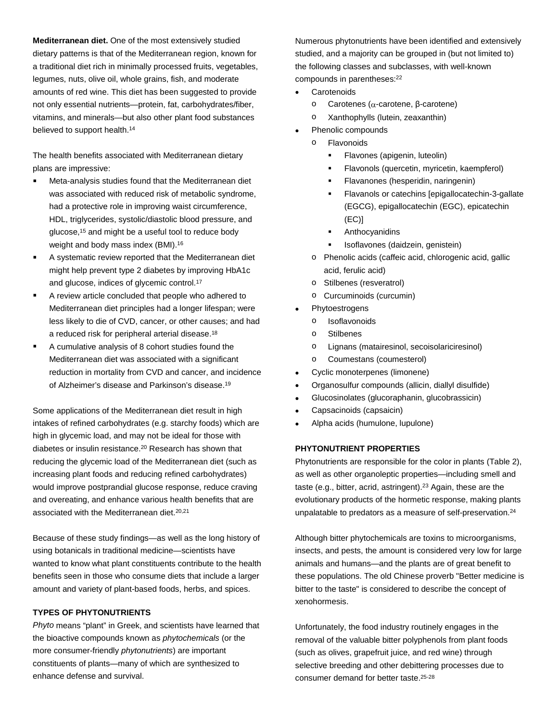**Mediterranean diet.** One of the most extensively studied dietary patterns is that of the Mediterranean region, known for a traditional diet rich in minimally processed fruits, vegetables, legumes, nuts, olive oil, whole grains, fish, and moderate amounts of red wine. This diet has been suggested to provide not only essential nutrients—protein, fat, carbohydrates/fiber, vitamins, and minerals—but also other plant food substances believed to support health.<sup>14</sup>

The health benefits associated with Mediterranean dietary plans are impressive:

- **Meta-analysis studies found that the Mediterranean diet** was associated with reduced risk of metabolic syndrome, had a protective role in improving waist circumference, HDL, triglycerides, systolic/diastolic blood pressure, and glucose,15 and might be a useful tool to reduce body weight and body mass index (BMI).16
- A systematic review reported that the Mediterranean diet might help prevent type 2 diabetes by improving HbA1c and glucose, indices of glycemic control.17
- A review article concluded that people who adhered to Mediterranean diet principles had a longer lifespan; were less likely to die of CVD, cancer, or other causes; and had a reduced risk for peripheral arterial disease.18
- A cumulative analysis of 8 cohort studies found the Mediterranean diet was associated with a significant reduction in mortality from CVD and cancer, and incidence of Alzheimer's disease and Parkinson's disease.19

Some applications of the Mediterranean diet result in high intakes of refined carbohydrates (e.g. starchy foods) which are high in glycemic load, and may not be ideal for those with diabetes or insulin resistance.20 Research has shown that reducing the glycemic load of the Mediterranean diet (such as increasing plant foods and reducing refined carbohydrates) would improve postprandial glucose response, reduce craving and overeating, and enhance various health benefits that are associated with the Mediterranean diet.20,21

Because of these study findings—as well as the long history of using botanicals in traditional medicine—scientists have wanted to know what plant constituents contribute to the health benefits seen in those who consume diets that include a larger amount and variety of plant-based foods, herbs, and spices.

#### **TYPES OF PHYTONUTRIENTS**

*Phyto* means "plant" in Greek, and scientists have learned that the bioactive compounds known as *phytochemicals* (or the more consumer-friendly *phytonutrients*) are important constituents of plants—many of which are synthesized to enhance defense and survival.

Numerous phytonutrients have been identified and extensively studied, and a majority can be grouped in (but not limited to) the following classes and subclasses, with well-known compounds in parentheses:<sup>22</sup>

- Carotenoids
	- o Carotenes (α-carotene, β-carotene)
	- o Xanthophylls (lutein, zeaxanthin)
- Phenolic compounds
- o Flavonoids
	- Flavones (apigenin, luteolin)
	- Flavonols (quercetin, myricetin, kaempferol)
	- Flavanones (hesperidin, naringenin)
	- Flavanols or catechins [epigallocatechin-3-gallate (EGCG), epigallocatechin (EGC), epicatechin (EC)]
	- Anthocyanidins
	- Isoflavones (daidzein, genistein)
	- o Phenolic acids (caffeic acid, chlorogenic acid, gallic acid, ferulic acid)
	- o Stilbenes (resveratrol)
	- Curcuminoids (curcumin)
- **Phytoestrogens** 
	- o Isoflavonoids
	- o Stilbenes
	- o Lignans (matairesinol, secoisolariciresinol)
	- o Coumestans (coumesterol)
- Cyclic monoterpenes (limonene)
- Organosulfur compounds (allicin, diallyl disulfide)
- Glucosinolates (glucoraphanin, glucobrassicin)
- Capsacinoids (capsaicin)
- Alpha acids (humulone, lupulone)

#### **PHYTONUTRIENT PROPERTIES**

Phytonutrients are responsible for the color in plants (Table 2), as well as other organoleptic properties—including smell and taste (e.g., bitter, acrid, astringent).23 Again, these are the evolutionary products of the hormetic response, making plants unpalatable to predators as a measure of self-preservation.<sup>24</sup>

Although bitter phytochemicals are toxins to microorganisms, insects, and pests, the amount is considered very low for large animals and humans—and the plants are of great benefit to these populations. The old Chinese proverb "Better medicine is bitter to the taste" is considered to describe the concept of xenohormesis.

Unfortunately, the food industry routinely engages in the removal of the valuable bitter polyphenols from plant foods (such as olives, grapefruit juice, and red wine) through selective breeding and other debittering processes due to consumer demand for better taste.25-28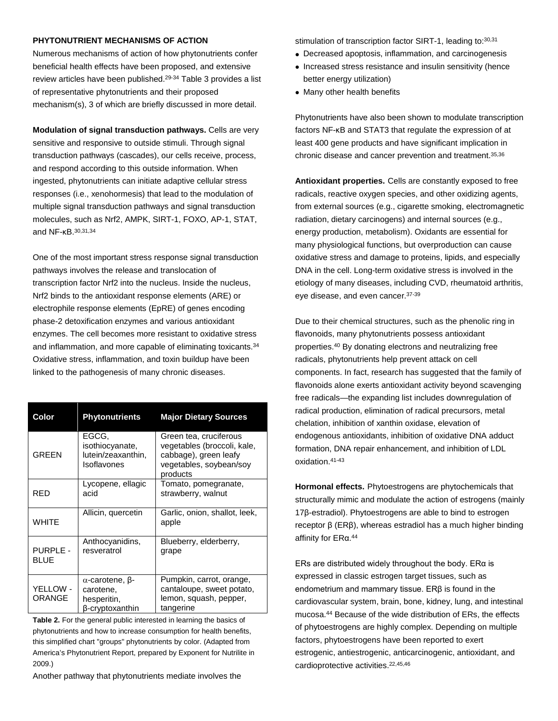#### **PHYTONUTRIENT MECHANISMS OF ACTION**

Numerous mechanisms of action of how phytonutrients confer beneficial health effects have been proposed, and extensive review articles have been published.29-34 Table 3 provides a list of representative phytonutrients and their proposed mechanism(s), 3 of which are briefly discussed in more detail.

**Modulation of signal transduction pathways.** Cells are very sensitive and responsive to outside stimuli. Through signal transduction pathways (cascades), our cells receive, process, and respond according to this outside information. When ingested, phytonutrients can initiate adaptive cellular stress responses (i.e., xenohormesis) that lead to the modulation of multiple signal transduction pathways and signal transduction molecules, such as Nrf2, AMPK, SIRT-1, FOXO, AP-1, STAT, and NF-κB.30,31,34

One of the most important stress response signal transduction pathways involves the release and translocation of transcription factor Nrf2 into the nucleus. Inside the nucleus, Nrf2 binds to the antioxidant response elements (ARE) or electrophile response elements (EpRE) of genes encoding phase-2 detoxification enzymes and various antioxidant enzymes. The cell becomes more resistant to oxidative stress and inflammation, and more capable of eliminating toxicants.34 Oxidative stress, inflammation, and toxin buildup have been linked to the pathogenesis of many chronic diseases.

| Color                          | <b>Phytonutrients</b>                                         | <b>Major Dietary Sources</b>                                                                                          |
|--------------------------------|---------------------------------------------------------------|-----------------------------------------------------------------------------------------------------------------------|
| <b>GREEN</b>                   | EGCG.<br>isothiocyanate,<br>lutein/zeaxanthin,<br>Isoflavones | Green tea, cruciferous<br>vegetables (broccoli, kale,<br>cabbage), green leafy<br>vegetables, soybean/soy<br>products |
| RED                            | Lycopene, ellagic<br>acid                                     | Tomato, pomegranate,<br>strawberry, walnut                                                                            |
| <b>WHITE</b>                   | Allicin, quercetin                                            | Garlic, onion, shallot, leek,<br>apple                                                                                |
| <b>PURPLE -</b><br><b>BLUE</b> | Anthocyanidins,<br>resveratrol                                | Blueberry, elderberry,<br>grape                                                                                       |
| YELLOW -<br>ORANGE             | α-carotene, β-<br>carotene,<br>hesperitin,<br>β-cryptoxanthin | Pumpkin, carrot, orange,<br>cantaloupe, sweet potato,<br>lemon, squash, pepper,<br>tangerine                          |

**Table 2.** For the general public interested in learning the basics of phytonutrients and how to increase consumption for health benefits, this simplified chart "groups" phytonutrients by color. (Adapted from America's Phytonutrient Report, prepared by Exponent for Nutrilite in 2009.)

Another pathway that phytonutrients mediate involves the

stimulation of transcription factor SIRT-1, leading to: 30, 31

- Decreased apoptosis, inflammation, and carcinogenesis
- Increased stress resistance and insulin sensitivity (hence better energy utilization)
- Many other health benefits

Phytonutrients have also been shown to modulate transcription factors NF-κB and STAT3 that regulate the expression of at least 400 gene products and have significant implication in chronic disease and cancer prevention and treatment.35,36

**Antioxidant properties.** Cells are constantly exposed to free radicals, reactive oxygen species, and other oxidizing agents, from external sources (e.g., cigarette smoking, electromagnetic radiation, dietary carcinogens) and internal sources (e.g., energy production, metabolism). Oxidants are essential for many physiological functions, but overproduction can cause oxidative stress and damage to proteins, lipids, and especially DNA in the cell. Long-term oxidative stress is involved in the etiology of many diseases, including CVD, rheumatoid arthritis, eye disease, and even cancer. 37-39

Due to their chemical structures, such as the phenolic ring in flavonoids, many phytonutrients possess antioxidant properties.40 By donating electrons and neutralizing free radicals, phytonutrients help prevent attack on cell components. In fact, research has suggested that the family of flavonoids alone exerts antioxidant activity beyond scavenging free radicals—the expanding list includes downregulation of radical production, elimination of radical precursors, metal chelation, inhibition of xanthin oxidase, elevation of endogenous antioxidants, inhibition of oxidative DNA adduct formation, DNA repair enhancement, and inhibition of LDL oxidation.41-43

**Hormonal effects.** Phytoestrogens are phytochemicals that structurally mimic and modulate the action of estrogens (mainly 17β-estradiol). Phytoestrogens are able to bind to estrogen receptor β (ERβ), whereas estradiol has a much higher binding affinity for ERα.<sup>44</sup>

ERs are distributed widely throughout the body. ERα is expressed in classic estrogen target tissues, such as endometrium and mammary tissue. ERβ is found in the cardiovascular system, brain, bone, kidney, lung, and intestinal mucosa.44 Because of the wide distribution of ERs, the effects of phytoestrogens are highly complex. Depending on multiple factors, phytoestrogens have been reported to exert estrogenic, antiestrogenic, anticarcinogenic, antioxidant, and cardioprotective activities.22,45,46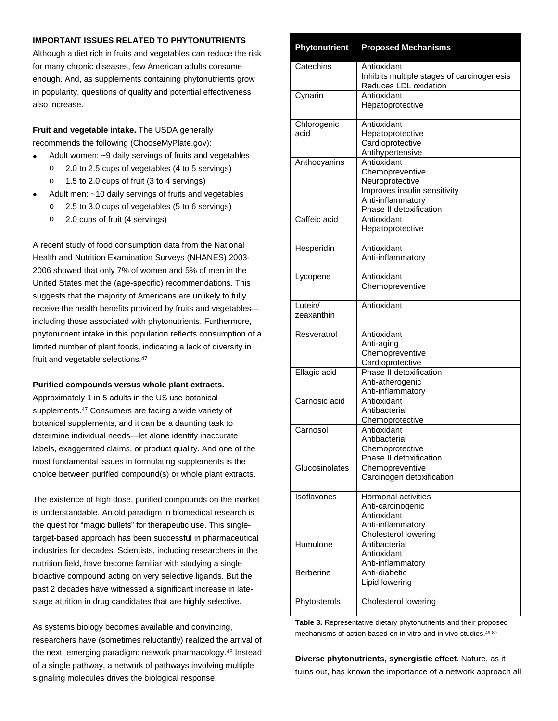#### **IMPORTANT ISSUES RELATED TO PHYTONUTRIENTS**

Although a diet rich in fruits and vegetables can reduce the risk for many chronic diseases, few American adults consume enough. And, as supplements containing phytonutrients grow in popularity, questions of quality and potential effectiveness also increase.

**Fruit and vegetable intake.** The USDA generally recommends the following (ChooseMyPlate.gov):

- Adult women: ~9 daily servings of fruits and vegetables
	- o 2.0 to 2.5 cups of vegetables (4 to 5 servings)
	- o 1.5 to 2.0 cups of fruit (3 to 4 servings)
- Adult men: ~10 daily servings of fruits and vegetables
	- o 2.5 to 3.0 cups of vegetables (5 to 6 servings)
	- o 2.0 cups of fruit (4 servings)

A recent study of food consumption data from the National Health and Nutrition Examination Surveys (NHANES) 2003- 2006 showed that only 7% of women and 5% of men in the United States met the (age-specific) recommendations. This suggests that the majority of Americans are unlikely to fully receive the health benefits provided by fruits and vegetables including those associated with phytonutrients. Furthermore, phytonutrient intake in this population reflects consumption of a limited number of plant foods, indicating a lack of diversity in fruit and vegetable selections.47

#### **Purified compounds versus whole plant extracts.**

Approximately 1 in 5 adults in the US use botanical supplements.<sup>47</sup> Consumers are facing a wide variety of botanical supplements, and it can be a daunting task to determine individual needs—let alone identify inaccurate labels, exaggerated claims, or product quality. And one of the most fundamental issues in formulating supplements is the choice between purified compound(s) or whole plant extracts.

The existence of high dose, purified compounds on the market is understandable. An old paradigm in biomedical research is the quest for "magic bullets" for therapeutic use. This singletarget-based approach has been successful in pharmaceutical industries for decades. Scientists, including researchers in the nutrition field, have become familiar with studying a single bioactive compound acting on very selective ligands. But the past 2 decades have witnessed a significant increase in latestage attrition in drug candidates that are highly selective.

As systems biology becomes available and convincing, researchers have (sometimes reluctantly) realized the arrival of the next, emerging paradigm: network pharmacology.48 Instead of a single pathway, a network of pathways involving multiple signaling molecules drives the biological response.

### **Phytonutrient Proposed Mechanisms** Catechins | Antioxidant

| Catechins        | Antioxidant<br>Inhibits multiple stages of carcinogenesis |
|------------------|-----------------------------------------------------------|
|                  | Reduces LDL oxidation                                     |
| Cynarin          | Antioxidant                                               |
|                  | Hepatoprotective                                          |
| Chlorogenic      | Antioxidant                                               |
| acid             | Hepatoprotective<br>Cardioprotective                      |
|                  | Antihypertensive                                          |
| Anthocyanins     | Antioxidant                                               |
|                  | Chemopreventive                                           |
|                  | Neuroprotective                                           |
|                  | Improves insulin sensitivity                              |
|                  | Anti-inflammatory                                         |
| Caffeic acid     | Phase II detoxification<br>Antioxidant                    |
|                  | Hepatoprotective                                          |
|                  |                                                           |
| Hesperidin       | Antioxidant                                               |
|                  | Anti-inflammatory                                         |
| Lycopene         | Antioxidant                                               |
|                  | Chemopreventive                                           |
| Lutein/          | Antioxidant                                               |
| zeaxanthin       |                                                           |
| Resveratrol      | Antioxidant                                               |
|                  | Anti-aging                                                |
|                  | Chemopreventive                                           |
|                  | Cardioprotective                                          |
| Ellagic acid     | Phase II detoxification                                   |
|                  | Anti-atherogenic<br>Anti-inflammatory                     |
| Carnosic acid    | Antioxidant                                               |
|                  | Antibacterial                                             |
|                  | Chemoprotective                                           |
| Carnosol         | Antioxidant                                               |
|                  | Antibacterial                                             |
|                  | Chemoprotective                                           |
| Glucosinolates   | Phase II detoxification<br>Chemopreventive                |
|                  | Carcinogen detoxification                                 |
| Isoflavones      | Hormonal activities                                       |
|                  | Anti-carcinogenic                                         |
|                  | Antioxidant                                               |
|                  | Anti-inflammatory                                         |
|                  | Cholesterol lowering                                      |
| Humulone         | Antibacterial                                             |
|                  | Antioxidant<br>Anti-inflammatory                          |
| <b>Berberine</b> | Anti-diabetic                                             |
|                  | Lipid lowering                                            |
|                  |                                                           |
| Phytosterols     | Cholesterol lowering                                      |

**Table 3.** Representative dietary phytonutrients and their proposed mechanisms of action based on in vitro and in vivo studies.<sup>49-89</sup>

**Diverse phytonutrients, synergistic effect.** Nature, as it turns out, has known the importance of a network approach all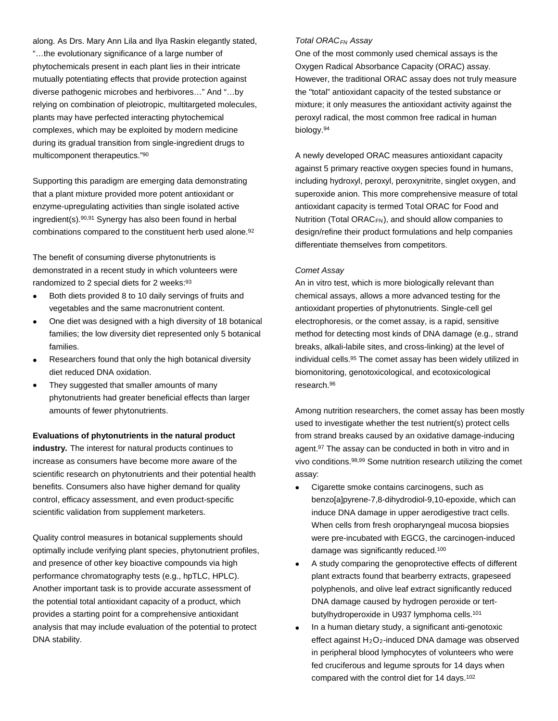along. As Drs. Mary Ann Lila and Ilya Raskin elegantly stated, "…the evolutionary significance of a large number of phytochemicals present in each plant lies in their intricate mutually potentiating effects that provide protection against diverse pathogenic microbes and herbivores…" And "…by relying on combination of pleiotropic, multitargeted molecules, plants may have perfected interacting phytochemical complexes, which may be exploited by modern medicine during its gradual transition from single-ingredient drugs to multicomponent therapeutics."90

Supporting this paradigm are emerging data demonstrating that a plant mixture provided more potent antioxidant or enzyme-upregulating activities than single isolated active ingredient(s).90,91 Synergy has also been found in herbal combinations compared to the constituent herb used alone.92

The benefit of consuming diverse phytonutrients is demonstrated in a recent study in which volunteers were randomized to 2 special diets for 2 weeks:93

- Both diets provided 8 to 10 daily servings of fruits and vegetables and the same macronutrient content.
- One diet was designed with a high diversity of 18 botanical families; the low diversity diet represented only 5 botanical families.
- Researchers found that only the high botanical diversity diet reduced DNA oxidation.
- They suggested that smaller amounts of many phytonutrients had greater beneficial effects than larger amounts of fewer phytonutrients.

#### **Evaluations of phytonutrients in the natural product**

**industry.** The interest for natural products continues to increase as consumers have become more aware of the scientific research on phytonutrients and their potential health benefits. Consumers also have higher demand for quality control, efficacy assessment, and even product-specific scientific validation from supplement marketers.

Quality control measures in botanical supplements should optimally include verifying plant species, phytonutrient profiles, and presence of other key bioactive compounds via high performance chromatography tests (e.g., hpTLC, HPLC). Another important task is to provide accurate assessment of the potential total antioxidant capacity of a product, which provides a starting point for a comprehensive antioxidant analysis that may include evaluation of the potential to protect DNA stability.

#### *Total ORACFN Assay*

One of the most commonly used chemical assays is the Oxygen Radical Absorbance Capacity (ORAC) assay. However, the traditional ORAC assay does not truly measure the "total" antioxidant capacity of the tested substance or mixture; it only measures the antioxidant activity against the peroxyl radical, the most common free radical in human biology.94

A newly developed ORAC measures antioxidant capacity against 5 primary reactive oxygen species found in humans, including hydroxyl, peroxyl, peroxynitrite, singlet oxygen, and superoxide anion. This more comprehensive measure of total antioxidant capacity is termed Total ORAC for Food and Nutrition (Total ORACFN), and should allow companies to design/refine their product formulations and help companies differentiate themselves from competitors.

#### *Comet Assay*

An in vitro test, which is more biologically relevant than chemical assays, allows a more advanced testing for the antioxidant properties of phytonutrients. Single-cell gel electrophoresis, or the comet assay, is a rapid, sensitive method for detecting most kinds of DNA damage (e.g., strand breaks, alkali-labile sites, and cross-linking) at the level of individual cells.95 The comet assay has been widely utilized in biomonitoring, genotoxicological, and ecotoxicological research.96

Among nutrition researchers, the comet assay has been mostly used to investigate whether the test nutrient(s) protect cells from strand breaks caused by an oxidative damage-inducing agent.97 The assay can be conducted in both in vitro and in vivo conditions.98,99 Some nutrition research utilizing the comet assay:

- Cigarette smoke contains carcinogens, such as benzo[a]pyrene-7,8-dihydrodiol-9,10-epoxide, which can induce DNA damage in upper aerodigestive tract cells. When cells from fresh oropharyngeal mucosa biopsies were pre-incubated with EGCG, the carcinogen-induced damage was significantly reduced.100
- A study comparing the genoprotective effects of different plant extracts found that bearberry extracts, grapeseed polyphenols, and olive leaf extract significantly reduced DNA damage caused by hydrogen peroxide or tertbutylhydroperoxide in U937 lymphoma cells.101
- In a human dietary study, a significant anti-genotoxic effect against  $H_2O_2$ -induced DNA damage was observed in peripheral blood lymphocytes of volunteers who were fed cruciferous and legume sprouts for 14 days when compared with the control diet for 14 days.102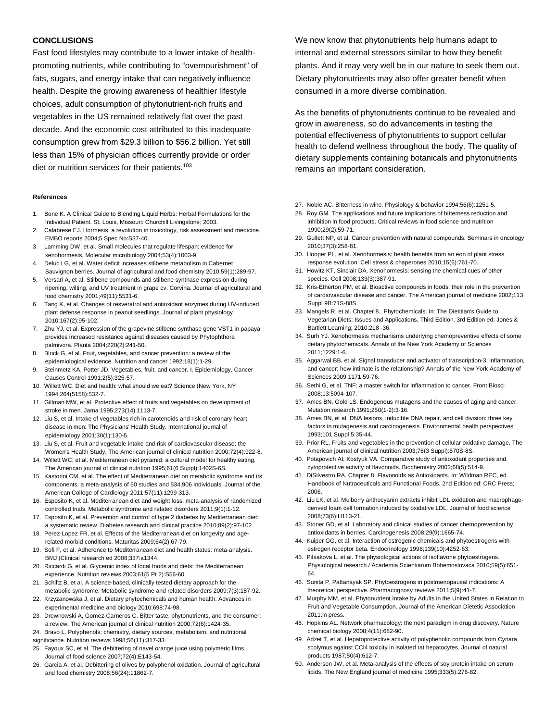#### **CONCLUSIONS**

Fast food lifestyles may contribute to a lower intake of healthpromoting nutrients, while contributing to "overnourishment" of fats, sugars, and energy intake that can negatively influence health. Despite the growing awareness of healthier lifestyle choices, adult consumption of phytonutrient-rich fruits and vegetables in the US remained relatively flat over the past decade. And the economic cost attributed to this inadequate consumption grew from \$29.3 billion to \$56.2 billion. Yet still less than 15% of physician offices currently provide or order diet or nutrition services for their patients.<sup>103</sup>

#### **References**

- 1. Bone K. A Clinical Guide to Blending Liquid Herbs: Herbal Formulations for the Individual Patient. St. Louis, Missouri: Churchill Livingstone; 2003.
- 2. Calabrese EJ. Hormesis: a revolution in toxicology, risk assessment and medicine. EMBO reports 2004;5 Spec No:S37-40.
- 3. Lamming DW, et al. Small molecules that regulate lifespan: evidence for xenohormesis. Molecular microbiology 2004;53(4):1003-9.
- Deluc LG, et al. Water deficit increases stilbene metabolism in Cabernet Sauvignon berries. Journal of agricultural and food chemistry 2010;59(1):289-97.
- 5. Versari A, et al. Stilbene compounds and stilbene synthase expression during ripening, wilting, and UV treatment in grape cv. Corvina. Journal of agricultural and food chemistry 2001;49(11):5531-6.
- 6. Tang K, et al. Changes of resveratrol and antioxidant enzymes during UV-induced plant defense response in peanut seedlings. Journal of plant physiology 2010;167(2):95-102.
- 7. Zhu YJ, et al. Expression of the grapevine stilbene synthase gene VST1 in papaya provides increased resistance against diseases caused by Phytophthora palmivora. Planta 2004;220(2):241-50.
- 8. Block G, et al. Fruit, vegetables, and cancer prevention: a review of the epidemiological evidence. Nutrition and cancer 1992;18(1):1-29.
- Steinmetz KA, Potter JD. Vegetables, fruit, and cancer. I. Epidemiology. Cancer Causes Control 1991;2(5):325-57.
- 10. Willett WC. Diet and health: what should we eat? Science (New York, NY 1994;264(5158):532-7.
- 11. Gillman MW, et al. Protective effect of fruits and vegetables on development of stroke in men. Jama 1995;273(14):1113-7.
- 12. Liu S, et al. Intake of vegetables rich in carotenoids and risk of coronary heart disease in men: The Physicians' Health Study. International journal of epidemiology 2001;30(1):130-5.
- 13. Liu S, et al. Fruit and vegetable intake and risk of cardiovascular disease: the Women's Health Study. The American journal of clinical nutrition 2000;72(4):922-8.
- 14. Willett WC, et al. Mediterranean diet pyramid: a cultural model for healthy eating. The American journal of clinical nutrition 1995;61(6 Suppl):1402S-6S.
- 15. Kastorini CM, et al. The effect of Mediterranean diet on metabolic syndrome and its components: a meta-analysis of 50 studies and 534,906 individuals. Journal of the American College of Cardiology 2011;57(11):1299-313.
- 16. Esposito K, et al. Mediterranean diet and weight loss: meta-analysis of randomized controlled trials. Metabolic syndrome and related disorders 2011;9(1):1-12.
- 17. Esposito K, et al. Prevention and control of type 2 diabetes by Mediterranean diet: a systematic review. Diabetes research and clinical practice 2010;89(2):97-102.
- 18. Perez-Lopez FR, et al. Effects of the Mediterranean diet on longevity and agerelated morbid conditions. Maturitas 2009;64(2):67-79.
- 19. Sofi F, et al. Adherence to Mediterranean diet and health status: meta-analysis. BMJ (Clinical research ed 2008;337:a1344.
- 20. Riccardi G, et al. Glycemic index of local foods and diets: the Mediterranean experience. Nutrition reviews 2003;61(5 Pt 2):S56-60.
- 21. Schiltz B, et al. A science-based, clinically tested dietary approach for the
- metabolic syndrome. Metabolic syndrome and related disorders 2009;7(3):187-92. 22. Krzyzanowska J, et al. Dietary phytochemicals and human health. Advances in experimental medicine and biology 2010;698:74-98.
- 23. Drewnowski A, Gomez-Carneros C. Bitter taste, phytonutrients, and the consumer: a review. The American journal of clinical nutrition 2000;72(6):1424-35.
- 24. Bravo L. Polyphenols: chemistry, dietary sources, metabolism, and nutritional
- significance. Nutrition reviews 1998;56(11):317-33.
- 25. Fayoux SC, et al. The debittering of navel orange juice using polymeric films. Journal of food science 2007;72(4):E143-54.
- 26. Garcia A, et al. Debittering of olives by polyphenol oxidation. Journal of agricultural and food chemistry 2008;56(24):11862-7.

We now know that phytonutrients help humans adapt to internal and external stressors similar to how they benefit plants. And it may very well be in our nature to seek them out. Dietary phytonutrients may also offer greater benefit when consumed in a more diverse combination.

As the benefits of phytonutrients continue to be revealed and grow in awareness, so do advancements in testing the potential effectiveness of phytonutrients to support cellular health to defend wellness throughout the body. The quality of dietary supplements containing botanicals and phytonutrients remains an important consideration.

- 27. Noble AC. Bitterness in wine. Physiology & behavior 1994;56(6):1251-5.
- 28. Roy GM. The applications and future implications of bitterness reduction and inhibition in food products. Critical reviews in food science and nutrition 1990;29(2):59-71.
- 29. Gullett NP, et al. Cancer prevention with natural compounds. Seminars in oncology 2010;37(3):258-81.
- 30. Hooper PL, et al. Xenohormesis: health benefits from an eon of plant stress response evolution. Cell stress & chaperones 2010;15(6):761-70.
- 31. Howitz KT, Sinclair DA. Xenohormesis: sensing the chemical cues of other species. Cell 2008;133(3):387-91.
- 32. Kris-Etherton PM, et al. Bioactive compounds in foods: their role in the prevention of cardiovascular disease and cancer. The American journal of medicine 2002;113 Suppl 9B:71S-88S.
- 33. Mangels R, et al. Chapter 8. Phytochemicals. In: The Dietitian's Guide to Vegetarian Diets: Issues and Applications, Third Edition. 3rd Edition ed: Jones & Bartlett Learning; 2010:218 -36.
- 34. Surh YJ. Xenohormesis mechanisms underlying chemopreventive effects of some dietary phytochemicals. Annals of the New York Academy of Sciences 2011;1229:1-6.
- 35. Aggarwal BB, et al. Signal transducer and activator of transcription-3, inflammation, and cancer: how intimate is the relationship? Annals of the New York Academy of Sciences 2009;1171:59-76.
- 36. Sethi G, et al. TNF: a master switch for inflammation to cancer. Front Biosci 2008;13:5094-107.
- 37. Ames BN, Gold LS. Endogenous mutagens and the causes of aging and cancer. Mutation research 1991;250(1-2):3-16.
- 38. Ames BN, et al. DNA lesions, inducible DNA repair, and cell division: three key factors in mutagenesis and carcinogenesis. Environmental health perspectives 1993;101 Suppl 5:35-44.
- 39. Prior RL. Fruits and vegetables in the prevention of cellular oxidative damage. The American journal of clinical nutrition 2003;78(3 Suppl):570S-8S.
- 40. Potapovich AI, Kostyuk VA. Comparative study of antioxidant properties and cytoprotective activity of flavonoids. Biochemistry 2003;68(5):514-9.
- 41. DiSilvestro RA. Chapter 8. Flavonoids as Antioxidants. In: Wildman REC, ed. Handbook of Nutraceuticals and Functional Foods. 2nd Edition ed: CRC Press; 2006.
- 42. Liu LK, et al. Mulberry anthocyanin extracts inhibit LDL oxidation and macrophagederived foam cell formation induced by oxidative LDL. Journal of food science 2008;73(6):H113-21.
- 43. Stoner GD, et al. Laboratory and clinical studies of cancer chemoprevention by antioxidants in berries. Carcinogenesis 2008;29(9):1665-74.
- 44. Kuiper GG, et al. Interaction of estrogenic chemicals and phytoestrogens with estrogen receptor beta. Endocrinology 1998;139(10):4252-63.
- 45. Pilsakova L, et al. The physiological actions of isoflavone phytoestrogens. Physiological research / Academia Scientiarum Bohemoslovaca 2010;59(5):651- 64.
- 46. Sunita P, Pattanayak SP. Phytoestrogens in postmenopausal indications: A theoretical perspective. Pharmacognosy reviews 2011;5(9):41-7.
- 47. Murphy MM, et al. Phytonutrient Intake by Adults in the United States in Relation to Fruit and Vegetable Consumption. Journal of the American Dietetic Association 2011:in press.
- 48. Hopkins AL. Network pharmacology: the next paradigm in drug discovery. Nature chemical biology 2008;4(11):682-90.
- 49. Adzet T, et al. Hepatoprotective activity of polyphenolic compounds from Cynara scolymus against CCl4 toxicity in isolated rat hepatocytes. Journal of natural products 1987;50(4):612-7.
- 50. Anderson JW, et al. Meta-analysis of the effects of soy protein intake on serum lipids. The New England journal of medicine 1995;333(5):276-82.